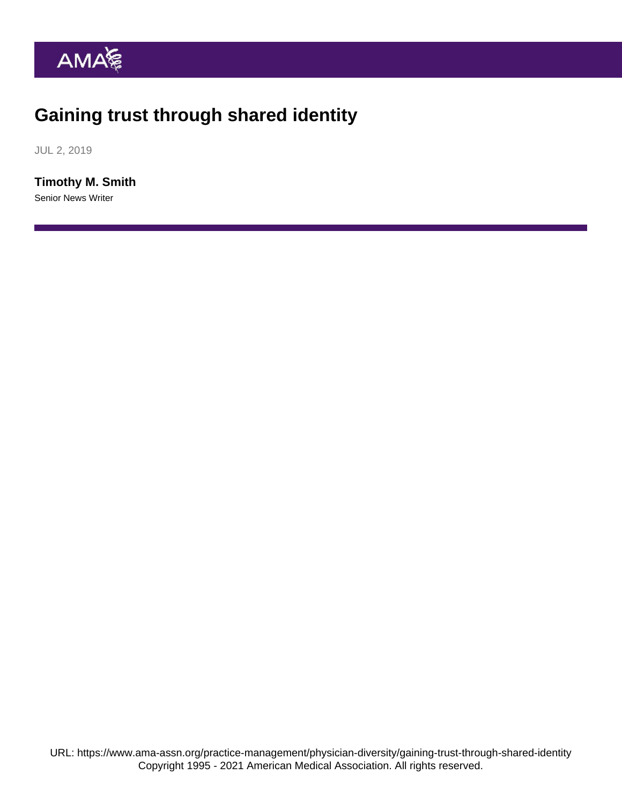# Gaining trust through shared identity

JUL 2, 2019

[Timothy M. Smith](https://www.ama-assn.org/news-leadership-viewpoints/authors-news-leadership-viewpoints/timothy-m-smith) Senior News Writer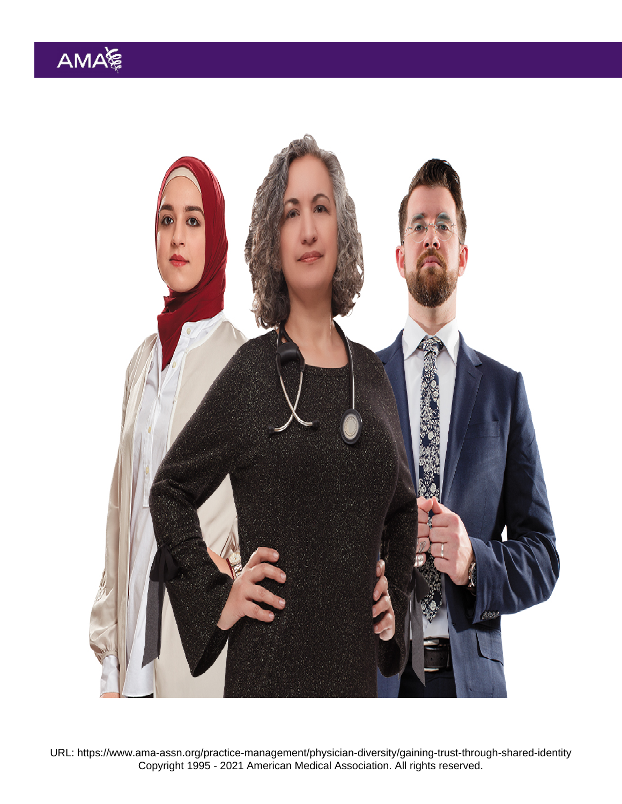URL:<https://www.ama-assn.org/practice-management/physician-diversity/gaining-trust-through-shared-identity> Copyright 1995 - 2021 American Medical Association. All rights reserved.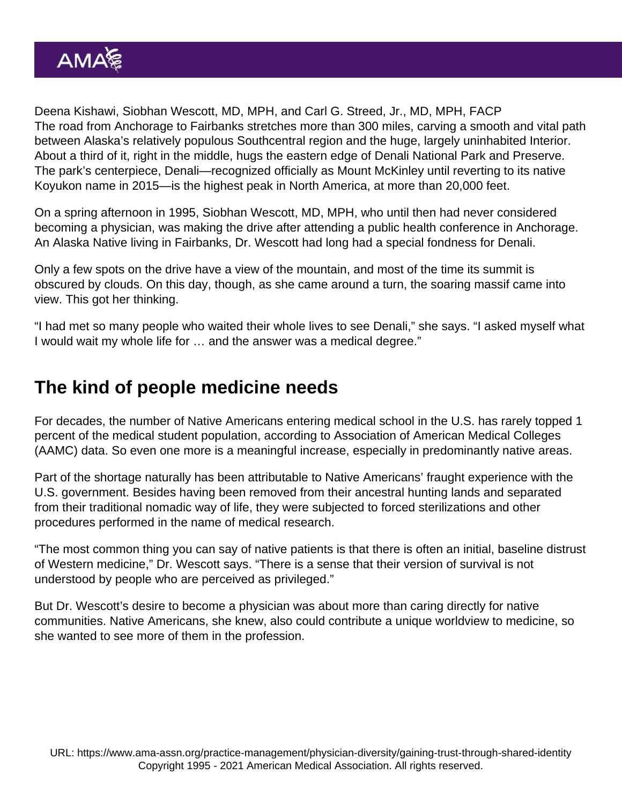Deena Kishawi, Siobhan Wescott, MD, MPH, and Carl G. Streed, Jr., MD, MPH, FACP The road from Anchorage to Fairbanks stretches more than 300 miles, carving a smooth and vital path between Alaska's relatively populous Southcentral region and the huge, largely uninhabited Interior. About a third of it, right in the middle, hugs the eastern edge of Denali National Park and Preserve. The park's centerpiece, Denali—recognized officially as Mount McKinley until reverting to its native Koyukon name in 2015—is the highest peak in North America, at more than 20,000 feet.

On a spring afternoon in 1995, Siobhan Wescott, MD, MPH, who until then had never considered becoming a physician, was making the drive after attending a public health conference in Anchorage. An Alaska Native living in Fairbanks, Dr. Wescott had long had a special fondness for Denali.

Only a few spots on the drive have a view of the mountain, and most of the time its summit is obscured by clouds. On this day, though, as she came around a turn, the soaring massif came into view. This got her thinking.

"I had met so many people who waited their whole lives to see Denali," she says. "I asked myself what I would wait my whole life for … and the answer was a medical degree."

## The kind of people medicine needs

For decades, the number of Native Americans entering medical school in the U.S. has rarely topped 1 percent of the medical student population, according to Association of American Medical Colleges (AAMC) [data](https://www.aamc.org/download/321474/data/factstablea9.pdf). So even one more is a meaningful increase, especially in predominantly native areas.

Part of the shortage naturally has been attributable to Native Americans' fraught experience with the U.S. government. Besides having been removed from their ancestral hunting lands and separated from their traditional nomadic way of life, they were subjected to forced sterilizations and other procedures performed in the name of medical research.

"The most common thing you can say of native patients is that there is often an initial, baseline distrust of Western medicine," Dr. Wescott says. "There is a sense that their version of survival is not understood by people who are perceived as privileged."

But Dr. Wescott's desire to become a physician was about more than caring directly for native communities. Native Americans, she knew, also could contribute a unique worldview to medicine, so she wanted to see more of them in the profession.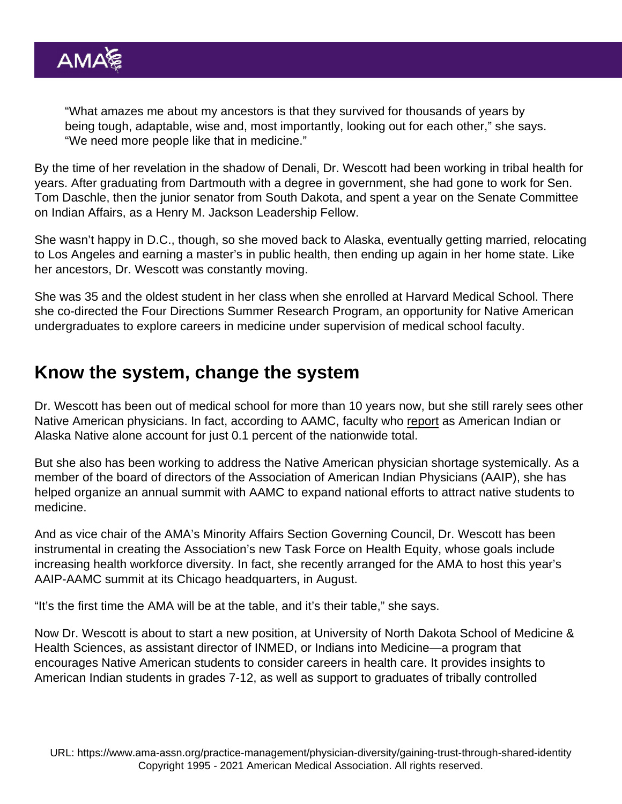"What amazes me about my ancestors is that they survived for thousands of years by being tough, adaptable, wise and, most importantly, looking out for each other," she says. "We need more people like that in medicine."

By the time of her revelation in the shadow of Denali, Dr. Wescott had been working in tribal health for years. After graduating from Dartmouth with a degree in government, she had gone to work for Sen. Tom Daschle, then the junior senator from South Dakota, and spent a year on the Senate Committee on Indian Affairs, as a Henry M. Jackson Leadership Fellow.

She wasn't happy in D.C., though, so she moved back to Alaska, eventually getting married, relocating to Los Angeles and earning a master's in public health, then ending up again in her home state. Like her ancestors, Dr. Wescott was constantly moving.

She was 35 and the oldest student in her class when she enrolled at Harvard Medical School. There she co-directed the Four Directions Summer Research Program, an opportunity for Native American undergraduates to explore careers in medicine under supervision of medical school faculty.

#### Know the system, change the system

Dr. Wescott has been out of medical school for more than 10 years now, but she still rarely sees other Native American physicians. In fact, according to AAMC, faculty who [report](https://news.aamc.org/diversity/article/confronting-crisis/) as American Indian or Alaska Native alone account for just 0.1 percent of the nationwide total.

But she also has been working to address the Native American physician shortage systemically. As a member of the board of directors of the Association of American Indian Physicians (AAIP), she has helped organize an annual summit with AAMC to expand national efforts to attract native students to medicine.

And as vice chair of the AMA's Minority Affairs Section Governing Council, Dr. Wescott has been instrumental in creating the Association's new Task Force on Health Equity, whose goals include increasing health workforce diversity. In fact, she recently arranged for the AMA to host this year's AAIP-AAMC summit at its Chicago headquarters, in August.

"It's the first time the AMA will be at the table, and it's their table," she says.

Now Dr. Wescott is about to start a new position, at University of North Dakota School of Medicine & Health Sciences, as assistant director of INMED, or Indians into Medicine—a program that encourages Native American students to consider careers in health care. It provides insights to American Indian students in grades 7-12, as well as support to graduates of tribally controlled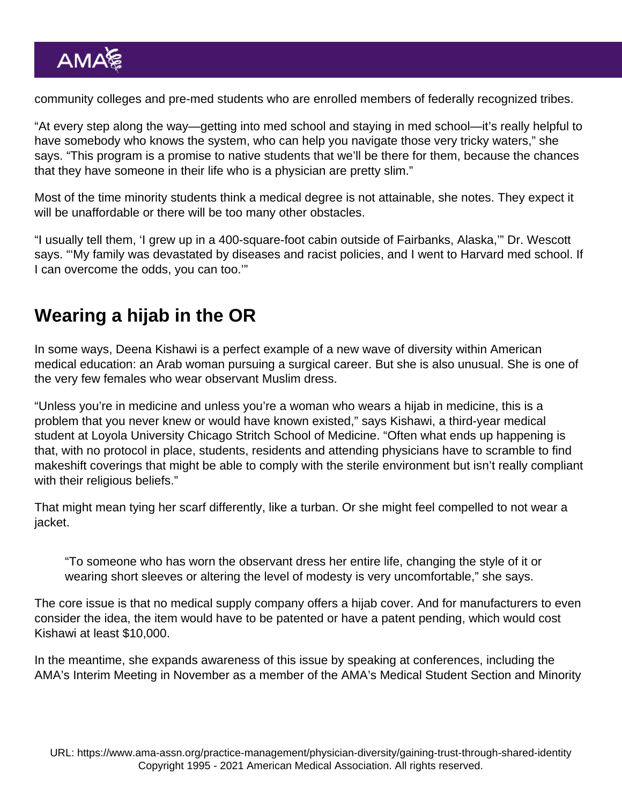community colleges and pre-med students who are enrolled members of federally recognized tribes.

"At every step along the way—getting into med school and staying in med school—it's really helpful to have somebody who knows the system, who can help you navigate those very tricky waters," she says. "This program is a promise to native students that we'll be there for them, because the chances that they have someone in their life who is a physician are pretty slim."

Most of the time minority students think a medical degree is not attainable, she notes. They expect it will be unaffordable or there will be too many other obstacles.

"I usually tell them, 'I grew up in a 400-square-foot cabin outside of Fairbanks, Alaska,'" Dr. Wescott says. "'My family was devastated by diseases and racist policies, and I went to Harvard med school. If I can overcome the odds, you can too.'"

# Wearing a hijab in the OR

In some ways, Deena Kishawi is a perfect example of a new wave of diversity within American medical education: an Arab woman pursuing a surgical career. But she is also unusual. She is one of the very few females who wear observant Muslim dress.

"Unless you're in medicine and unless you're a woman who wears a hijab in medicine, this is a problem that you never knew or would have known existed," says Kishawi, a third-year medical student at Loyola University Chicago Stritch School of Medicine. "Often what ends up happening is that, with no protocol in place, students, residents and attending physicians have to scramble to find makeshift coverings that might be able to comply with the sterile environment but isn't really compliant with their religious beliefs."

That might mean tying her scarf differently, like a turban. Or she might feel compelled to not wear a jacket.

"To someone who has worn the observant dress her entire life, changing the style of it or wearing short sleeves or altering the level of modesty is very uncomfortable," she says.

The core issue is that no medical supply company offers a hijab cover. And for manufacturers to even consider the idea, the item would have to be patented or have a patent pending, which would cost Kishawi at least \$10,000.

In the meantime, she expands awareness of this issue by speaking at conferences, including the AMA's Interim Meeting in November as a member of the AMA's Medical Student Section and Minority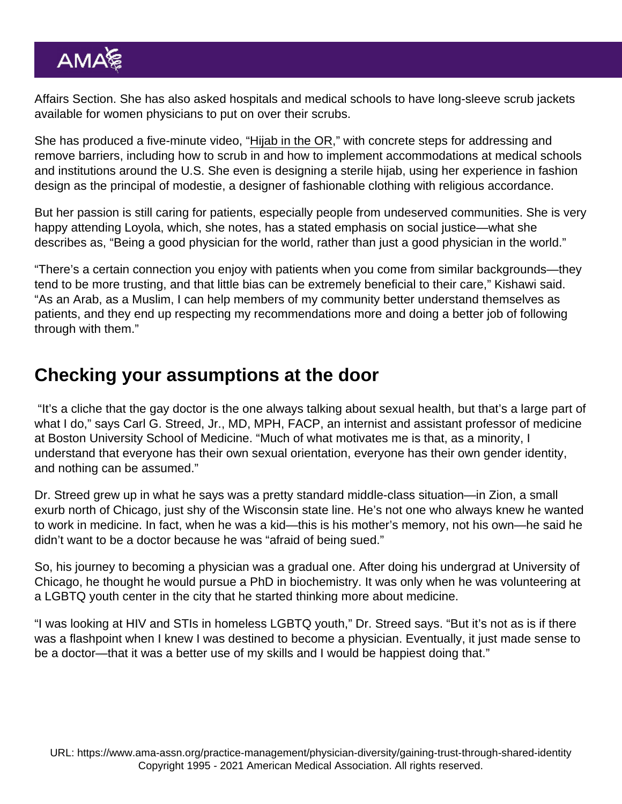Affairs Section. She has also asked hospitals and medical schools to have long-sleeve scrub jackets available for women physicians to put on over their scrubs.

She has produced a five-minute video, ["Hijab in the OR](https://hijabintheor.com/video/)," with concrete steps for addressing and remove barriers, including how to scrub in and how to implement accommodations at medical schools and institutions around the U.S. She even is designing a sterile hijab, using her experience in fashion design as the principal of modestie, a designer of fashionable clothing with religious accordance.

But her passion is still caring for patients, especially people from undeserved communities. She is very happy attending Loyola, which, she notes, has a stated emphasis on social justice—what she describes as, "Being a good physician for the world, rather than just a good physician in the world."

"There's a certain connection you enjoy with patients when you come from similar backgrounds—they tend to be more trusting, and that little bias can be extremely beneficial to their care," Kishawi said. "As an Arab, as a Muslim, I can help members of my community better understand themselves as patients, and they end up respecting my recommendations more and doing a better job of following through with them."

## Checking your assumptions at the door

 "It's a cliche that the gay doctor is the one always talking about sexual health, but that's a large part of what I do," says Carl G. Streed, Jr., MD, MPH, FACP, an internist and assistant professor of medicine at Boston University School of Medicine. "Much of what motivates me is that, as a minority, I understand that everyone has their own sexual orientation, everyone has their own gender identity, and nothing can be assumed."

Dr. Streed grew up in what he says was a pretty standard middle-class situation—in Zion, a small exurb north of Chicago, just shy of the Wisconsin state line. He's not one who always knew he wanted to work in medicine. In fact, when he was a kid—this is his mother's memory, not his own—he said he didn't want to be a doctor because he was "afraid of being sued."

So, his journey to becoming a physician was a gradual one. After doing his undergrad at University of Chicago, he thought he would pursue a PhD in biochemistry. It was only when he was volunteering at a LGBTQ youth center in the city that he started thinking more about medicine.

"I was looking at HIV and STIs in homeless LGBTQ youth," Dr. Streed says. "But it's not as is if there was a flashpoint when I knew I was destined to become a physician. Eventually, it just made sense to be a doctor—that it was a better use of my skills and I would be happiest doing that."